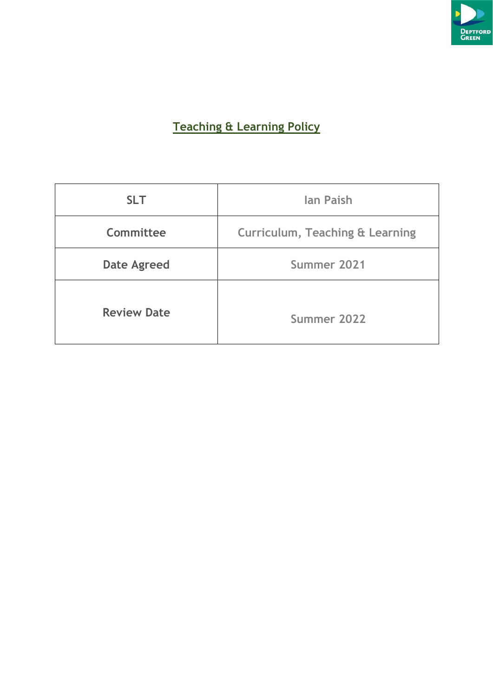

# **Teaching & Learning Policy**

| <b>SLT</b>                        | <b>lan Paish</b>                           |  |
|-----------------------------------|--------------------------------------------|--|
| Committee                         | <b>Curriculum, Teaching &amp; Learning</b> |  |
| Summer 2021<br><b>Date Agreed</b> |                                            |  |
| <b>Review Date</b><br>Summer 2022 |                                            |  |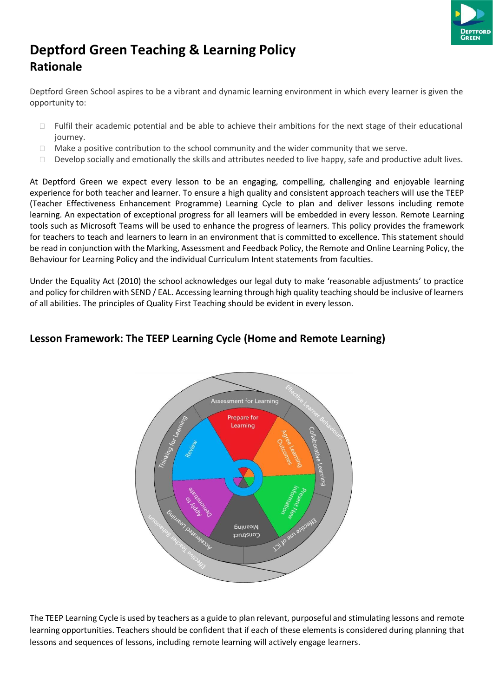

# **Deptford Green Teaching & Learning Policy Rationale**

Deptford Green School aspires to be a vibrant and dynamic learning environment in which every learner is given the opportunity to:

- □ Fulfil their academic potential and be able to achieve their ambitions for the next stage of their educational journey.
- $\Box$  Make a positive contribution to the school community and the wider community that we serve.
- $\Box$  Develop socially and emotionally the skills and attributes needed to live happy, safe and productive adult lives.

At Deptford Green we expect every lesson to be an engaging, compelling, challenging and enjoyable learning experience for both teacher and learner. To ensure a high quality and consistent approach teachers will use the TEEP (Teacher Effectiveness Enhancement Programme) Learning Cycle to plan and deliver lessons including remote learning. An expectation of exceptional progress for all learners will be embedded in every lesson. Remote Learning tools such as Microsoft Teams will be used to enhance the progress of learners. This policy provides the framework for teachers to teach and learners to learn in an environment that is committed to excellence. This statement should be read in conjunction with the Marking, Assessment and Feedback Policy, the Remote and Online Learning Policy, the Behaviour for Learning Policy and the individual Curriculum Intent statements from faculties.

Under the Equality Act (2010) the school acknowledges our legal duty to make 'reasonable adjustments' to practice and policy for children with SEND / EAL. Accessing learning through high quality teaching should be inclusive of learners of all abilities. The principles of Quality First Teaching should be evident in every lesson.

# **Lesson Framework: The TEEP Learning Cycle (Home and Remote Learning)**



The TEEP Learning Cycle is used by teachers as a guide to plan relevant, purposeful and stimulating lessons and remote learning opportunities. Teachers should be confident that if each of these elements is considered during planning that lessons and sequences of lessons, including remote learning will actively engage learners.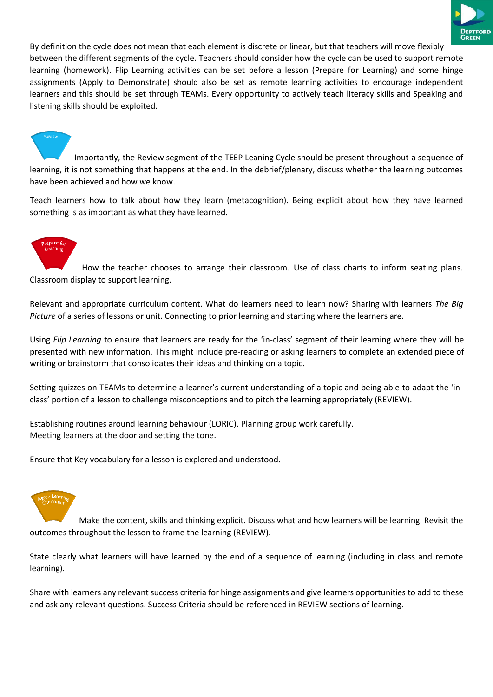

By definition the cycle does not mean that each element is discrete or linear, but that teachers will move flexibly between the different segments of the cycle. Teachers should consider how the cycle can be used to support remote learning (homework). Flip Learning activities can be set before a lesson (Prepare for Learning) and some hinge assignments (Apply to Demonstrate) should also be set as remote learning activities to encourage independent learners and this should be set through TEAMs. Every opportunity to actively teach literacy skills and Speaking and listening skills should be exploited.

Importantly, the Review segment of the TEEP Leaning Cycle should be present throughout a sequence of learning, it is not something that happens at the end. In the debrief/plenary, discuss whether the learning outcomes have been achieved and how we know.

Teach learners how to talk about how they learn (metacognition). Being explicit about how they have learned something is as important as what they have learned.

How the teacher chooses to arrange their classroom. Use of class charts to inform seating plans. Classroom display to support learning.

Relevant and appropriate curriculum content. What do learners need to learn now? Sharing with learners *The Big Picture* of a series of lessons or unit. Connecting to prior learning and starting where the learners are.

Using *Flip Learning* to ensure that learners are ready for the 'in-class' segment of their learning where they will be presented with new information. This might include pre-reading or asking learners to complete an extended piece of writing or brainstorm that consolidates their ideas and thinking on a topic.

Setting quizzes on TEAMs to determine a learner's current understanding of a topic and being able to adapt the 'inclass' portion of a lesson to challenge misconceptions and to pitch the learning appropriately (REVIEW).

Establishing routines around learning behaviour (LORIC). Planning group work carefully. Meeting learners at the door and setting the tone.

Ensure that Key vocabulary for a lesson is explored and understood.



Make the content, skills and thinking explicit. Discuss what and how learners will be learning. Revisit the outcomes throughout the lesson to frame the learning (REVIEW).

State clearly what learners will have learned by the end of a sequence of learning (including in class and remote learning).

Share with learners any relevant success criteria for hinge assignments and give learners opportunities to add to these and ask any relevant questions. Success Criteria should be referenced in REVIEW sections of learning.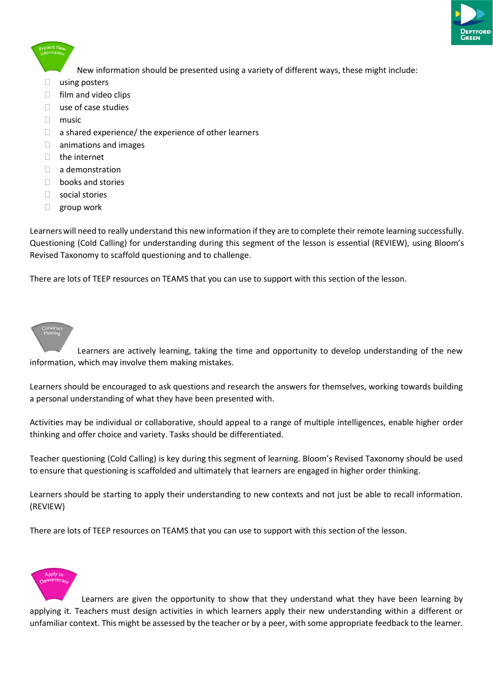

New information should be presented using a variety of different ways, these might include:

- $\Box$  using posters
- $\Box$  film and video clips
- $\Box$  use of case studies
- $\Box$  music
- $\Box$  a shared experience/ the experience of other learners
- $\Box$  animations and images
- □ the internet
- $\Box$  a demonstration
- $\Box$  books and stories
- social stories
- group work

Learners will need to really understand this new information ifthey are to complete their remote learning successfully. Questioning (Cold Calling) for understanding during this segment of the lesson is essential (REVIEW), using Bloom's Revised Taxonomy to scaffold questioning and to challenge.

There are lots of TEEP resources on TEAMS that you can use to support with this section of the lesson.

Learners are actively learning, taking the time and opportunity to develop understanding of the new information, which may involve them making mistakes.

Learners should be encouraged to ask questions and research the answers for themselves, working towards building a personal understanding of what they have been presented with.

Activities may be individual or collaborative, should appeal to a range of multiple intelligences, enable higher order thinking and offer choice and variety. Tasks should be differentiated.

Teacher questioning (Cold Calling) is key during this segment of learning. Bloom's Revised Taxonomy should be used to ensure that questioning is scaffolded and ultimately that learners are engaged in higher order thinking.

Learners should be starting to apply their understanding to new contexts and not just be able to recall information. (REVIEW)

There are lots of TEEP resources on TEAMS that you can use to support with this section of the lesson.



Learners are given the opportunity to show that they understand what they have been learning by applying it. Teachers must design activities in which learners apply their new understanding within a different or unfamiliar context. This might be assessed by the teacher or by a peer, with some appropriate feedback to the learner.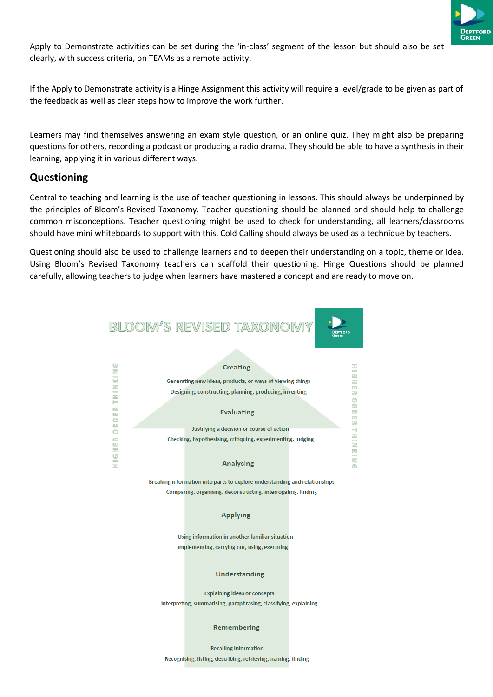

Apply to Demonstrate activities can be set during the 'in-class' segment of the lesson but should also be set clearly, with success criteria, on TEAMs as a remote activity.

If the Apply to Demonstrate activity is a Hinge Assignment this activity will require a level/grade to be given as part of the feedback as well as clear steps how to improve the work further.

Learners may find themselves answering an exam style question, or an online quiz. They might also be preparing questions for others, recording a podcast or producing a radio drama. They should be able to have a synthesis in their learning, applying it in various different ways.

# **Questioning**

Central to teaching and learning is the use of teacher questioning in lessons. This should always be underpinned by the principles of Bloom's Revised Taxonomy. Teacher questioning should be planned and should help to challenge common misconceptions. Teacher questioning might be used to check for understanding, all learners/classrooms should have mini whiteboards to support with this. Cold Calling should always be used as a technique by teachers.

Questioning should also be used to challenge learners and to deepen their understanding on a topic, theme or idea. Using Bloom's Revised Taxonomy teachers can scaffold their questioning. Hinge Questions should be planned carefully, allowing teachers to judge when learners have mastered a concept and are ready to move on.

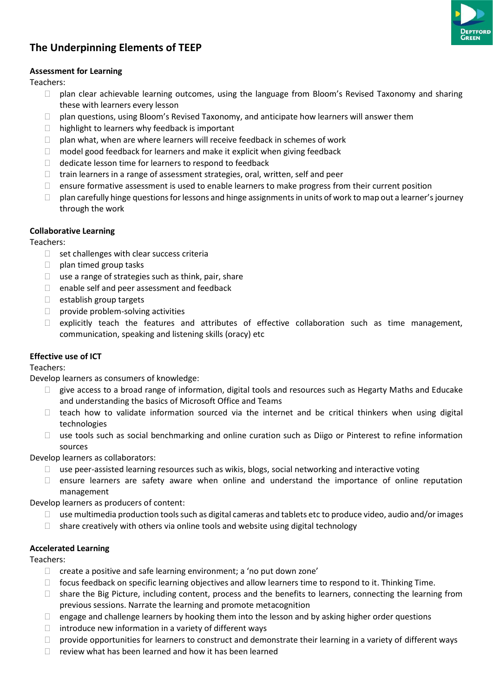

# **The Underpinning Elements of TEEP**

### **Assessment for Learning**

Teachers:

- $\Box$  plan clear achievable learning outcomes, using the language from Bloom's Revised Taxonomy and sharing these with learners every lesson
- $\Box$  plan questions, using Bloom's Revised Taxonomy, and anticipate how learners will answer them
- $\Box$  highlight to learners why feedback is important
- $\Box$  plan what, when are where learners will receive feedback in schemes of work
- $\Box$  model good feedback for learners and make it explicit when giving feedback
- $\Box$  dedicate lesson time for learners to respond to feedback
- $\Box$  train learners in a range of assessment strategies, oral, written, self and peer
- $\Box$  ensure formative assessment is used to enable learners to make progress from their current position
- $\Box$  plan carefully hinge questions for lessons and hinge assignments in units of work to map out a learner's journey through the work

#### **Collaborative Learning**

Teachers:

- $\Box$  set challenges with clear success criteria
- $\Box$  plan timed group tasks
- $\Box$  use a range of strategies such as think, pair, share
- $\Box$  enable self and peer assessment and feedback
- $\Box$  establish group targets
- $\Box$  provide problem-solving activities
- $\Box$  explicitly teach the features and attributes of effective collaboration such as time management, communication, speaking and listening skills (oracy) etc

## **Effective use of ICT**

Teachers:

Develop learners as consumers of knowledge:

- $\Box$  give access to a broad range of information, digital tools and resources such as Hegarty Maths and Educake and understanding the basics of Microsoft Office and Teams
- teach how to validate information sourced via the internet and be critical thinkers when using digital technologies
- $\Box$  use tools such as social benchmarking and online curation such as Diigo or Pinterest to refine information sources

Develop learners as collaborators:

- $\Box$  use peer-assisted learning resources such as wikis, blogs, social networking and interactive voting
- $\Box$  ensure learners are safety aware when online and understand the importance of online reputation management

Develop learners as producers of content:

- $\Box$  use multimedia production tools such as digital cameras and tablets etc to produce video, audio and/or images
- $\Box$  share creatively with others via online tools and website using digital technology

#### **Accelerated Learning**

Teachers:

- $\Box$  create a positive and safe learning environment; a 'no put down zone'
- $\Box$  focus feedback on specific learning objectives and allow learners time to respond to it. Thinking Time.
- $\Box$  share the Big Picture, including content, process and the benefits to learners, connecting the learning from previous sessions. Narrate the learning and promote metacognition
- $\Box$  engage and challenge learners by hooking them into the lesson and by asking higher order questions
- $\Box$  introduce new information in a variety of different ways
- $\Box$  provide opportunities for learners to construct and demonstrate their learning in a variety of different ways
- $\Box$  review what has been learned and how it has been learned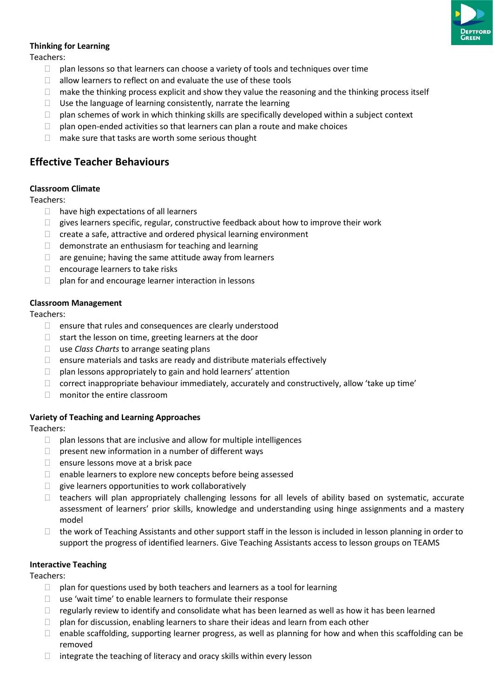

# **Thinking for Learning**

Teachers:

- $\Box$  plan lessons so that learners can choose a variety of tools and techniques over time
- $\Box$  allow learners to reflect on and evaluate the use of these tools
- $\Box$  make the thinking process explicit and show they value the reasoning and the thinking process itself
- $\Box$  Use the language of learning consistently, narrate the learning
- $\Box$  plan schemes of work in which thinking skills are specifically developed within a subject context
- $\Box$  plan open-ended activities so that learners can plan a route and make choices
- $\Box$  make sure that tasks are worth some serious thought

# **Effective Teacher Behaviours**

#### **Classroom Climate**

Teachers:

- $\Box$  have high expectations of all learners
- $\Box$  gives learners specific, regular, constructive feedback about how to improve their work
- $\Box$  create a safe, attractive and ordered physical learning environment
- $\Box$  demonstrate an enthusiasm for teaching and learning
- $\Box$  are genuine; having the same attitude away from learners
- $\Box$  encourage learners to take risks
- $\Box$  plan for and encourage learner interaction in lessons

#### **Classroom Management**

Teachers:

- $\Box$  ensure that rules and consequences are clearly understood
- $\Box$  start the lesson on time, greeting learners at the door
- use *Class Charts* to arrange seating plans
- $\Box$  ensure materials and tasks are ready and distribute materials effectively
- $\Box$  plan lessons appropriately to gain and hold learners' attention
- $\Box$  correct inappropriate behaviour immediately, accurately and constructively, allow 'take up time'
- □ monitor the entire classroom

## **Variety of Teaching and Learning Approaches**

Teachers:

- $\Box$  plan lessons that are inclusive and allow for multiple intelligences
- $\Box$  present new information in a number of different ways
- $\Box$  ensure lessons move at a brisk pace
- $\Box$  enable learners to explore new concepts before being assessed
- $\Box$  give learners opportunities to work collaboratively
- $\Box$  teachers will plan appropriately challenging lessons for all levels of ability based on systematic, accurate assessment of learners' prior skills, knowledge and understanding using hinge assignments and a mastery model
- $\Box$  the work of Teaching Assistants and other support staff in the lesson is included in lesson planning in order to support the progress of identified learners. Give Teaching Assistants access to lesson groups on TEAMS

#### **Interactive Teaching**

Teachers:

- $\Box$  plan for questions used by both teachers and learners as a tool for learning
- $\Box$  use 'wait time' to enable learners to formulate their response
- $\Box$  regularly review to identify and consolidate what has been learned as well as how it has been learned
- $\Box$  plan for discussion, enabling learners to share their ideas and learn from each other
- $\Box$  enable scaffolding, supporting learner progress, as well as planning for how and when this scaffolding can be removed
- $\Box$  integrate the teaching of literacy and oracy skills within every lesson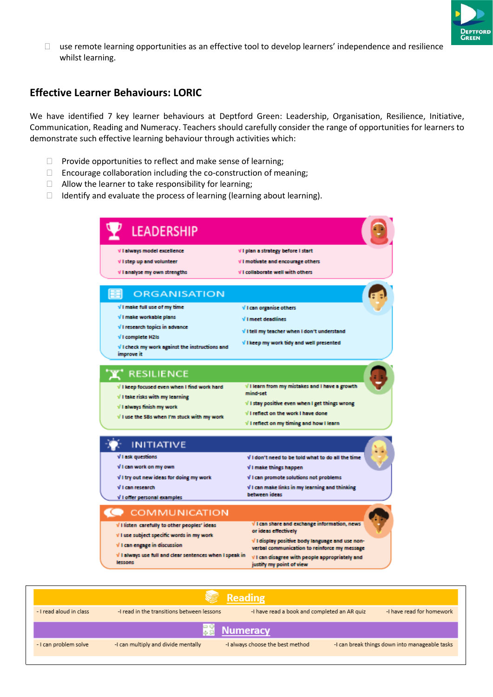

 $\Box$  use remote learning opportunities as an effective tool to develop learners' independence and resilience whilst learning.

# **Effective Learner Behaviours: LORIC**

We have identified 7 key learner behaviours at Deptford Green: Leadership, Organisation, Resilience, Initiative, Communication, Reading and Numeracy. Teachers should carefully consider the range of opportunities for learners to demonstrate such effective learning behaviour through activities which:

- $\Box$  Provide opportunities to reflect and make sense of learning;
- $\Box$  Encourage collaboration including the co-construction of meaning;
- $\Box$  Allow the learner to take responsibility for learning;
- $\Box$  Identify and evaluate the process of learning (learning about learning).



|                         |                                            | <b>E</b> Reading                             |                                                |
|-------------------------|--------------------------------------------|----------------------------------------------|------------------------------------------------|
| - I read aloud in class | -I read in the transitions between lessons | -I have read a book and completed an AR quiz | -I have read for homework                      |
|                         |                                            | <b>最も Numeracy</b>                           |                                                |
| - I can problem solve   | -I can multiply and divide mentally        | -I always choose the best method             | -I can break things down into manageable tasks |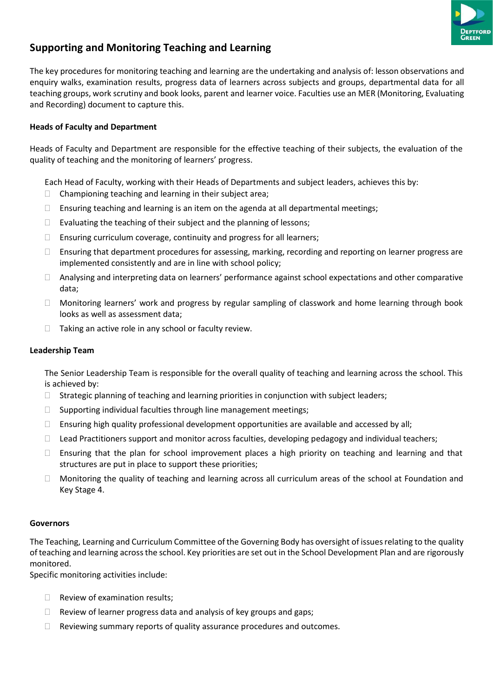

# **Supporting and Monitoring Teaching and Learning**

The key procedures for monitoring teaching and learning are the undertaking and analysis of: lesson observations and enquiry walks, examination results, progress data of learners across subjects and groups, departmental data for all teaching groups, work scrutiny and book looks, parent and learner voice. Faculties use an MER (Monitoring, Evaluating and Recording) document to capture this.

# **Heads of Faculty and Department**

Heads of Faculty and Department are responsible for the effective teaching of their subjects, the evaluation of the quality of teaching and the monitoring of learners' progress.

Each Head of Faculty, working with their Heads of Departments and subject leaders, achieves this by:

- $\Box$  Championing teaching and learning in their subject area;
- $\Box$  Ensuring teaching and learning is an item on the agenda at all departmental meetings;
- $\Box$  Evaluating the teaching of their subject and the planning of lessons;
- $\Box$  Ensuring curriculum coverage, continuity and progress for all learners;
- $\Box$  Ensuring that department procedures for assessing, marking, recording and reporting on learner progress are implemented consistently and are in line with school policy;
- Analysing and interpreting data on learners' performance against school expectations and other comparative data;
- Monitoring learners' work and progress by regular sampling of classwork and home learning through book looks as well as assessment data;
- $\Box$  Taking an active role in any school or faculty review.

## **Leadership Team**

The Senior Leadership Team is responsible for the overall quality of teaching and learning across the school. This is achieved by:

- $\Box$  Strategic planning of teaching and learning priorities in conjunction with subject leaders;
- $\Box$  Supporting individual faculties through line management meetings;
- $\Box$  Ensuring high quality professional development opportunities are available and accessed by all;
- $\Box$  Lead Practitioners support and monitor across faculties, developing pedagogy and individual teachers;
- $\Box$  Ensuring that the plan for school improvement places a high priority on teaching and learning and that structures are put in place to support these priorities;
- Monitoring the quality of teaching and learning across all curriculum areas of the school at Foundation and Key Stage 4.

## **Governors**

The Teaching, Learning and Curriculum Committee of the Governing Body has oversight of issues relating to the quality ofteaching and learning acrossthe school. Key priorities are set out in the School Development Plan and are rigorously monitored.

Specific monitoring activities include:

- $\Box$  Review of examination results;
- $\Box$  Review of learner progress data and analysis of key groups and gaps;
- $\Box$  Reviewing summary reports of quality assurance procedures and outcomes.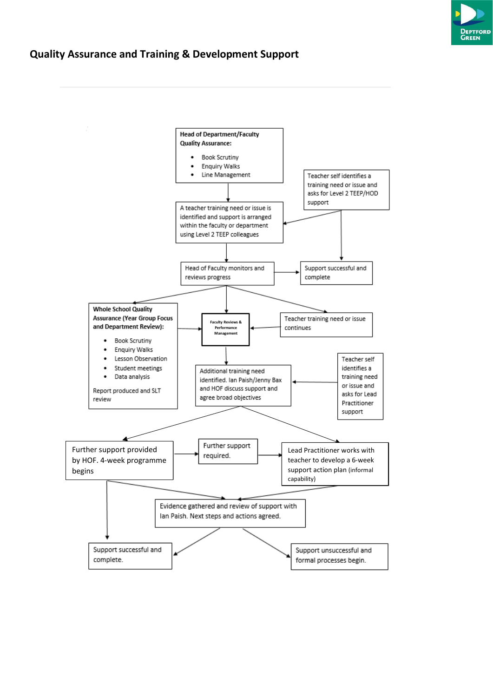

# **Quality Assurance and Training & Development Support**

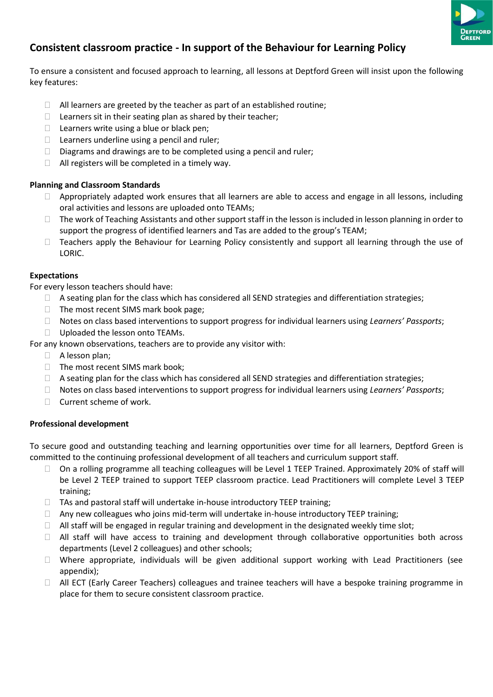

# **Consistent classroom practice - In support of the Behaviour for Learning Policy**

To ensure a consistent and focused approach to learning, all lessons at Deptford Green will insist upon the following key features:

- $\Box$  All learners are greeted by the teacher as part of an established routine;
- $\Box$  Learners sit in their seating plan as shared by their teacher;
- $\Box$  Learners write using a blue or black pen;
- $\Box$  Learners underline using a pencil and ruler;
- $\Box$  Diagrams and drawings are to be completed using a pencil and ruler;
- $\Box$  All registers will be completed in a timely way.

### **Planning and Classroom Standards**

- $\Box$  Appropriately adapted work ensures that all learners are able to access and engage in all lessons, including oral activities and lessons are uploaded onto TEAMs;
- $\Box$  The work of Teaching Assistants and other support staff in the lesson is included in lesson planning in order to support the progress of identified learners and Tas are added to the group's TEAM;
- □ Teachers apply the Behaviour for Learning Policy consistently and support all learning through the use of LORIC.

### **Expectations**

For every lesson teachers should have:

- $\Box$  A seating plan for the class which has considered all SEND strategies and differentiation strategies;
- □ The most recent SIMS mark book page;
- Notes on class based interventions to support progress for individual learners using *Learners' Passports*;
- D Uploaded the lesson onto TEAMs.
- For any known observations, teachers are to provide any visitor with:
	- $\Box$  A lesson plan;
	- $\Box$  The most recent SIMS mark book;
	- $\Box$  A seating plan for the class which has considered all SEND strategies and differentiation strategies;
	- Notes on class based interventions to support progress for individual learners using *Learners' Passports*;
	- $\Box$  Current scheme of work.

#### **Professional development**

To secure good and outstanding teaching and learning opportunities over time for all learners, Deptford Green is committed to the continuing professional development of all teachers and curriculum support staff.

- $\Box$  On a rolling programme all teaching colleagues will be Level 1 TEEP Trained. Approximately 20% of staff will be Level 2 TEEP trained to support TEEP classroom practice. Lead Practitioners will complete Level 3 TEEP training;
- $\Box$  TAs and pastoral staff will undertake in-house introductory TEEP training;
- $\Box$  Any new colleagues who joins mid-term will undertake in-house introductory TEEP training;
- $\Box$  All staff will be engaged in regular training and development in the designated weekly time slot;
- All staff will have access to training and development through collaborative opportunities both across departments (Level 2 colleagues) and other schools;
- $\Box$  Where appropriate, individuals will be given additional support working with Lead Practitioners (see appendix);
- □ All ECT (Early Career Teachers) colleagues and trainee teachers will have a bespoke training programme in place for them to secure consistent classroom practice.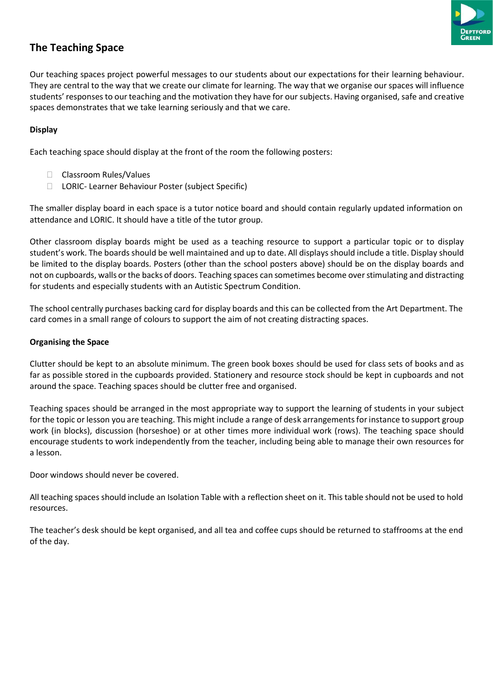

# **The Teaching Space**

Our teaching spaces project powerful messages to our students about our expectations for their learning behaviour. They are central to the way that we create our climate for learning. The way that we organise ourspaces will influence students' responses to our teaching and the motivation they have for our subjects. Having organised, safe and creative spaces demonstrates that we take learning seriously and that we care.

# **Display**

Each teaching space should display at the front of the room the following posters:

- □ Classroom Rules/Values
- □ LORIC- Learner Behaviour Poster (subject Specific)

The smaller display board in each space is a tutor notice board and should contain regularly updated information on attendance and LORIC. It should have a title of the tutor group.

Other classroom display boards might be used as a teaching resource to support a particular topic or to display student's work. The boards should be well maintained and up to date. All displays should include a title. Display should be limited to the display boards. Posters (other than the school posters above) should be on the display boards and not on cupboards, walls orthe backs of doors. Teaching spaces can sometimes become overstimulating and distracting for students and especially students with an Autistic Spectrum Condition.

The school centrally purchases backing card for display boards and this can be collected from the Art Department. The card comes in a small range of colours to support the aim of not creating distracting spaces.

### **Organising the Space**

Clutter should be kept to an absolute minimum. The green book boxes should be used for class sets of books and as far as possible stored in the cupboards provided. Stationery and resource stock should be kept in cupboards and not around the space. Teaching spaces should be clutter free and organised.

Teaching spaces should be arranged in the most appropriate way to support the learning of students in your subject for the topic or lesson you are teaching. This might include a range of desk arrangements for instance to support group work (in blocks), discussion (horseshoe) or at other times more individual work (rows). The teaching space should encourage students to work independently from the teacher, including being able to manage their own resources for a lesson.

Door windows should never be covered.

All teaching spaces should include an Isolation Table with a reflection sheet on it. This table should not be used to hold resources.

The teacher's desk should be kept organised, and all tea and coffee cups should be returned to staffrooms at the end of the day.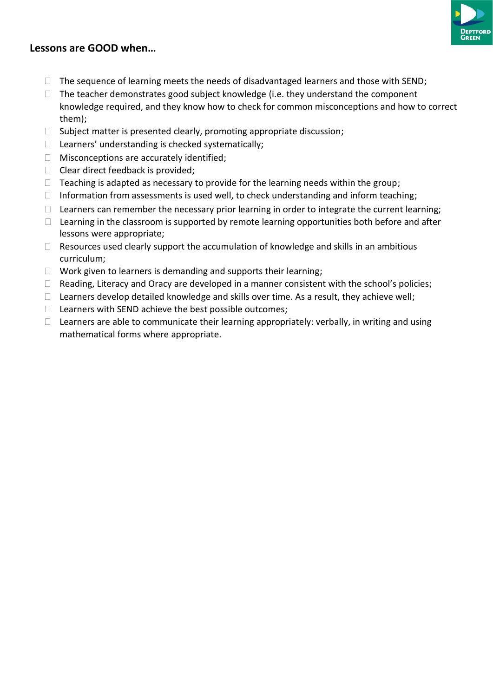

# **Lessons are GOOD when…**

- $\Box$  The sequence of learning meets the needs of disadvantaged learners and those with SEND;
- $\Box$  The teacher demonstrates good subject knowledge (i.e. they understand the component knowledge required, and they know how to check for common misconceptions and how to correct them);
- $\Box$  Subject matter is presented clearly, promoting appropriate discussion;
- $\Box$  Learners' understanding is checked systematically;
- $\Box$  Misconceptions are accurately identified;
- $\Box$  Clear direct feedback is provided;
- $\Box$  Teaching is adapted as necessary to provide for the learning needs within the group;
- $\Box$  Information from assessments is used well, to check understanding and inform teaching;
- $\Box$  Learners can remember the necessary prior learning in order to integrate the current learning;
- $\Box$  Learning in the classroom is supported by remote learning opportunities both before and after lessons were appropriate;
- $\Box$  Resources used clearly support the accumulation of knowledge and skills in an ambitious curriculum;
- $\Box$  Work given to learners is demanding and supports their learning;
- $\Box$  Reading, Literacy and Oracy are developed in a manner consistent with the school's policies;
- $\Box$  Learners develop detailed knowledge and skills over time. As a result, they achieve well;
- $\Box$  Learners with SEND achieve the best possible outcomes;
- $\Box$  Learners are able to communicate their learning appropriately: verbally, in writing and using mathematical forms where appropriate.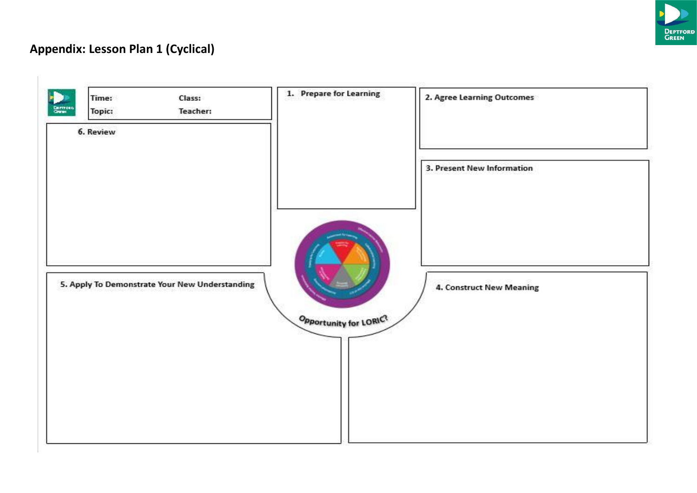

# **Appendix: Lesson Plan 1 (Cyclical)**

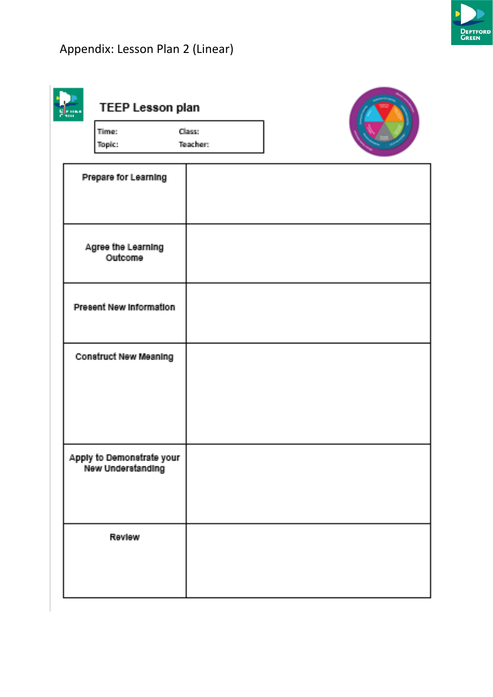



| <b>TEEP Lesson plan</b> |          |  |
|-------------------------|----------|--|
| Time:                   | Сіджен   |  |
| Topic:                  | Teacher: |  |



| Prepare for Learning                           |  |
|------------------------------------------------|--|
|                                                |  |
| Agree the Learning<br>Outcome                  |  |
| <b>Present New Information</b>                 |  |
| <b>Construct New Meaning</b>                   |  |
|                                                |  |
| Apply to Demonstrate your<br>New Understanding |  |
| Review                                         |  |
|                                                |  |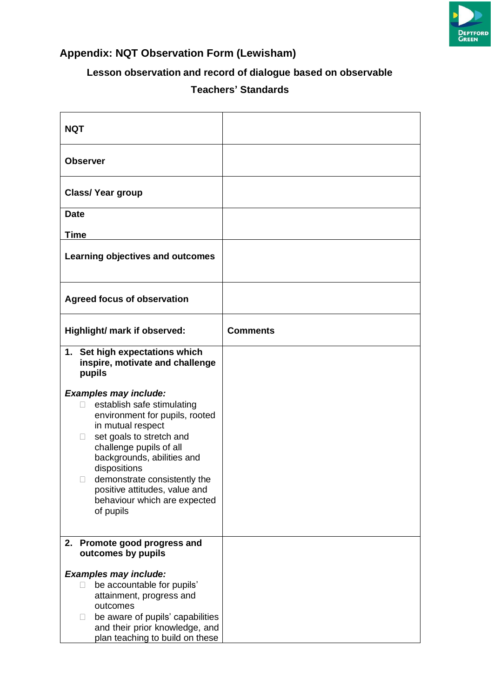

# **Appendix: NQT Observation Form (Lewisham)**

# **Lesson observation and record of dialogue based on observable Teachers' Standards**

| <b>NQT</b>                                                                                                                                                                                                                                                                                                                                               |                 |
|----------------------------------------------------------------------------------------------------------------------------------------------------------------------------------------------------------------------------------------------------------------------------------------------------------------------------------------------------------|-----------------|
| <b>Observer</b>                                                                                                                                                                                                                                                                                                                                          |                 |
| <b>Class/ Year group</b>                                                                                                                                                                                                                                                                                                                                 |                 |
| <b>Date</b>                                                                                                                                                                                                                                                                                                                                              |                 |
| <b>Time</b>                                                                                                                                                                                                                                                                                                                                              |                 |
| Learning objectives and outcomes                                                                                                                                                                                                                                                                                                                         |                 |
| <b>Agreed focus of observation</b>                                                                                                                                                                                                                                                                                                                       |                 |
| Highlight/ mark if observed:                                                                                                                                                                                                                                                                                                                             | <b>Comments</b> |
| 1. Set high expectations which<br>inspire, motivate and challenge<br>pupils                                                                                                                                                                                                                                                                              |                 |
| <b>Examples may include:</b><br>establish safe stimulating<br>П<br>environment for pupils, rooted<br>in mutual respect<br>set goals to stretch and<br>$\Box$<br>challenge pupils of all<br>backgrounds, abilities and<br>dispositions<br>demonstrate consistently the<br>П<br>positive attitudes, value and<br>behaviour which are expected<br>of pupils |                 |
| 2. Promote good progress and<br>outcomes by pupils                                                                                                                                                                                                                                                                                                       |                 |
| <b>Examples may include:</b><br>be accountable for pupils'<br>П<br>attainment, progress and<br>outcomes<br>be aware of pupils' capabilities<br>$\Box$<br>and their prior knowledge, and<br>plan teaching to build on these                                                                                                                               |                 |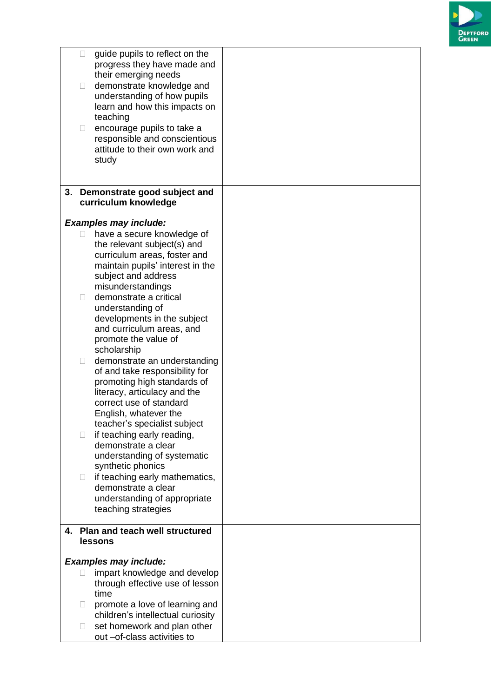

| П<br>$\Box$ | guide pupils to reflect on the<br>progress they have made and<br>their emerging needs<br>demonstrate knowledge and<br>understanding of how pupils<br>learn and how this impacts on<br>teaching |  |
|-------------|------------------------------------------------------------------------------------------------------------------------------------------------------------------------------------------------|--|
| $\Box$      | encourage pupils to take a<br>responsible and conscientious<br>attitude to their own work and<br>study                                                                                         |  |
|             | 3. Demonstrate good subject and                                                                                                                                                                |  |
|             | curriculum knowledge                                                                                                                                                                           |  |
|             | <b>Examples may include:</b>                                                                                                                                                                   |  |
| П           | have a secure knowledge of                                                                                                                                                                     |  |
|             | the relevant subject(s) and                                                                                                                                                                    |  |
|             | curriculum areas, foster and<br>maintain pupils' interest in the                                                                                                                               |  |
|             | subject and address                                                                                                                                                                            |  |
|             | misunderstandings                                                                                                                                                                              |  |
| П           | demonstrate a critical                                                                                                                                                                         |  |
|             | understanding of                                                                                                                                                                               |  |
|             | developments in the subject<br>and curriculum areas, and                                                                                                                                       |  |
|             | promote the value of                                                                                                                                                                           |  |
|             | scholarship                                                                                                                                                                                    |  |
| $\Box$      | demonstrate an understanding                                                                                                                                                                   |  |
|             | of and take responsibility for                                                                                                                                                                 |  |
|             | promoting high standards of<br>literacy, articulacy and the                                                                                                                                    |  |
|             | correct use of standard                                                                                                                                                                        |  |
|             | English, whatever the                                                                                                                                                                          |  |
|             | teacher's specialist subject                                                                                                                                                                   |  |
| П           | if teaching early reading,                                                                                                                                                                     |  |
|             | demonstrate a clear                                                                                                                                                                            |  |
|             | understanding of systematic<br>synthetic phonics                                                                                                                                               |  |
| $\Box$      | if teaching early mathematics,                                                                                                                                                                 |  |
|             | demonstrate a clear                                                                                                                                                                            |  |
|             | understanding of appropriate                                                                                                                                                                   |  |
|             | teaching strategies                                                                                                                                                                            |  |
|             | 4. Plan and teach well structured                                                                                                                                                              |  |
|             | lessons                                                                                                                                                                                        |  |
|             |                                                                                                                                                                                                |  |
|             | <b>Examples may include:</b>                                                                                                                                                                   |  |
|             | impart knowledge and develop                                                                                                                                                                   |  |
|             | through effective use of lesson<br>time                                                                                                                                                        |  |
| $\Box$      | promote a love of learning and                                                                                                                                                                 |  |
|             | children's intellectual curiosity                                                                                                                                                              |  |
| Ш           | set homework and plan other<br>out -of-class activities to                                                                                                                                     |  |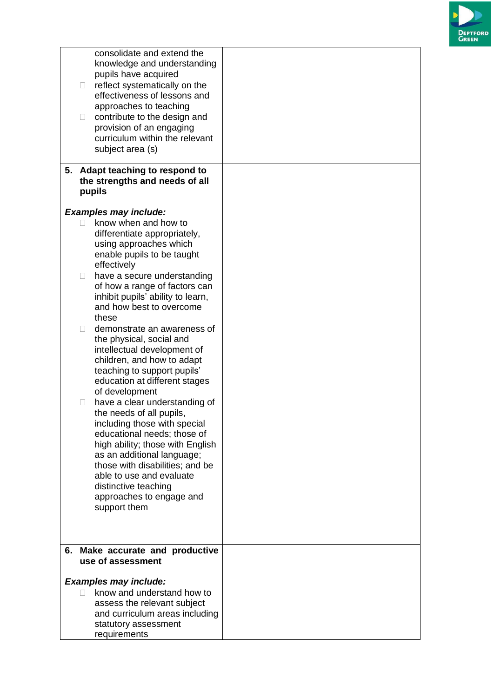

| consolidate and extend the<br>knowledge and understanding<br>pupils have acquired<br>reflect systematically on the<br>$\Box$<br>effectiveness of lessons and<br>approaches to teaching<br>contribute to the design and<br>$\Box$<br>provision of an engaging<br>curriculum within the relevant<br>subject area (s)            |  |
|-------------------------------------------------------------------------------------------------------------------------------------------------------------------------------------------------------------------------------------------------------------------------------------------------------------------------------|--|
| 5. Adapt teaching to respond to<br>the strengths and needs of all<br>pupils                                                                                                                                                                                                                                                   |  |
| <b>Examples may include:</b>                                                                                                                                                                                                                                                                                                  |  |
| know when and how to<br>differentiate appropriately,<br>using approaches which<br>enable pupils to be taught<br>effectively<br>have a secure understanding<br>$\Box$<br>of how a range of factors can                                                                                                                         |  |
| inhibit pupils' ability to learn,<br>and how best to overcome<br>these                                                                                                                                                                                                                                                        |  |
| demonstrate an awareness of<br>П<br>the physical, social and<br>intellectual development of<br>children, and how to adapt<br>teaching to support pupils'<br>education at different stages<br>of development                                                                                                                   |  |
| have a clear understanding of<br>the needs of all pupils,<br>including those with special<br>educational needs; those of<br>high ability; those with English<br>as an additional language;<br>those with disabilities; and be<br>able to use and evaluate<br>distinctive teaching<br>approaches to engage and<br>support them |  |
|                                                                                                                                                                                                                                                                                                                               |  |
| Make accurate and productive<br>6.<br>use of assessment                                                                                                                                                                                                                                                                       |  |
| <b>Examples may include:</b>                                                                                                                                                                                                                                                                                                  |  |
| know and understand how to<br>П<br>assess the relevant subject<br>and curriculum areas including<br>statutory assessment<br>requirements                                                                                                                                                                                      |  |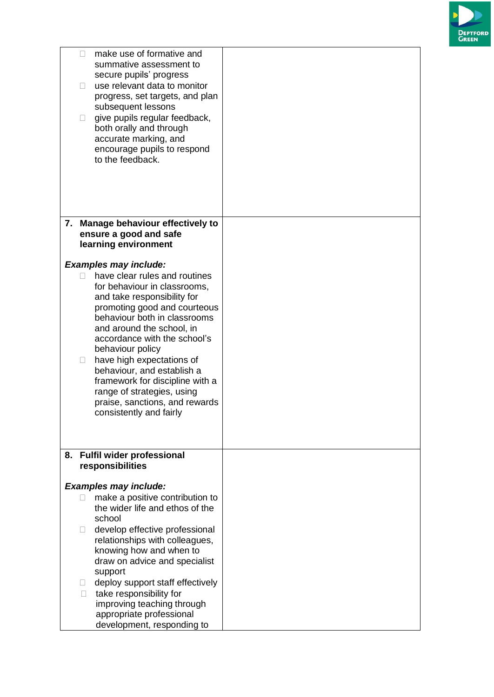

| make use of formative and<br>П<br>summative assessment to<br>secure pupils' progress<br>use relevant data to monitor<br>$\mathbb{R}^n$<br>progress, set targets, and plan<br>subsequent lessons<br>give pupils regular feedback,<br>П<br>both orally and through<br>accurate marking, and<br>encourage pupils to respond<br>to the feedback. |  |
|----------------------------------------------------------------------------------------------------------------------------------------------------------------------------------------------------------------------------------------------------------------------------------------------------------------------------------------------|--|
| 7. Manage behaviour effectively to                                                                                                                                                                                                                                                                                                           |  |
| ensure a good and safe                                                                                                                                                                                                                                                                                                                       |  |
| learning environment                                                                                                                                                                                                                                                                                                                         |  |
| <b>Examples may include:</b>                                                                                                                                                                                                                                                                                                                 |  |
| have clear rules and routines<br>$\Box$<br>for behaviour in classrooms,                                                                                                                                                                                                                                                                      |  |
| and take responsibility for                                                                                                                                                                                                                                                                                                                  |  |
| promoting good and courteous<br>behaviour both in classrooms                                                                                                                                                                                                                                                                                 |  |
| and around the school, in                                                                                                                                                                                                                                                                                                                    |  |
| accordance with the school's                                                                                                                                                                                                                                                                                                                 |  |
| behaviour policy                                                                                                                                                                                                                                                                                                                             |  |
| have high expectations of<br>$\Box$<br>behaviour, and establish a                                                                                                                                                                                                                                                                            |  |
| framework for discipline with a                                                                                                                                                                                                                                                                                                              |  |
| range of strategies, using                                                                                                                                                                                                                                                                                                                   |  |
| praise, sanctions, and rewards<br>consistently and fairly                                                                                                                                                                                                                                                                                    |  |
|                                                                                                                                                                                                                                                                                                                                              |  |
|                                                                                                                                                                                                                                                                                                                                              |  |
| <b>Fulfil wider professional</b><br>8.                                                                                                                                                                                                                                                                                                       |  |
| responsibilities                                                                                                                                                                                                                                                                                                                             |  |
| <b>Examples may include:</b>                                                                                                                                                                                                                                                                                                                 |  |
| make a positive contribution to                                                                                                                                                                                                                                                                                                              |  |
| the wider life and ethos of the<br>school                                                                                                                                                                                                                                                                                                    |  |
| develop effective professional<br>$\mathbb{R}^n$                                                                                                                                                                                                                                                                                             |  |
| relationships with colleagues,                                                                                                                                                                                                                                                                                                               |  |
| knowing how and when to                                                                                                                                                                                                                                                                                                                      |  |
| draw on advice and specialist<br>support                                                                                                                                                                                                                                                                                                     |  |
| deploy support staff effectively<br>$\Box$                                                                                                                                                                                                                                                                                                   |  |
| take responsibility for<br>П                                                                                                                                                                                                                                                                                                                 |  |
| improving teaching through                                                                                                                                                                                                                                                                                                                   |  |
| appropriate professional<br>development, responding to                                                                                                                                                                                                                                                                                       |  |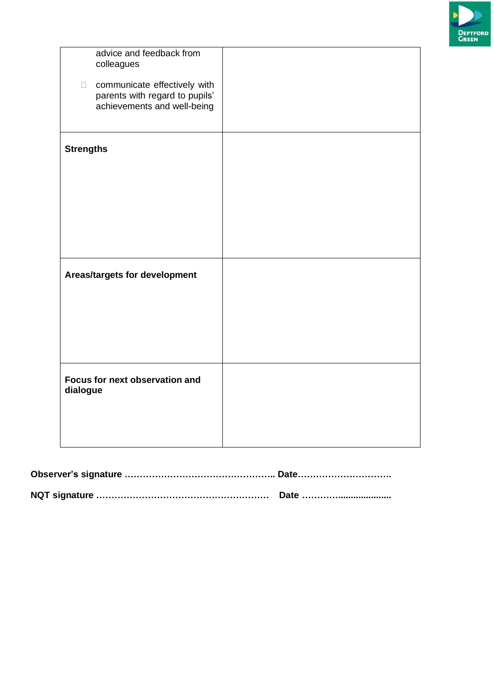

| advice and feedback from<br>colleagues<br>communicate effectively with<br>$\Box$<br>parents with regard to pupils'<br>achievements and well-being |  |
|---------------------------------------------------------------------------------------------------------------------------------------------------|--|
| <b>Strengths</b>                                                                                                                                  |  |
| Areas/targets for development                                                                                                                     |  |
| Focus for next observation and<br>dialogue                                                                                                        |  |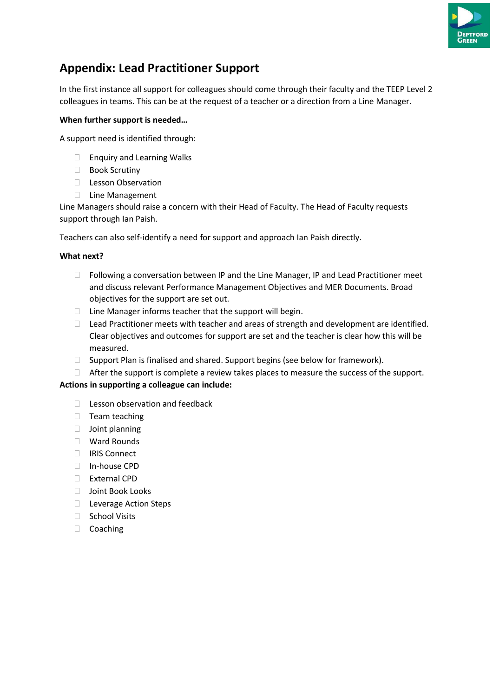

# **Appendix: Lead Practitioner Support**

In the first instance all support for colleagues should come through their faculty and the TEEP Level 2 colleagues in teams. This can be at the request of a teacher or a direction from a Line Manager.

### **When further support is needed…**

A support need is identified through:

- □ Enquiry and Learning Walks
- □ Book Scrutiny
- D Lesson Observation
- □ Line Management

Line Managers should raise a concern with their Head of Faculty. The Head of Faculty requests support through Ian Paish.

Teachers can also self-identify a need for support and approach Ian Paish directly.

#### **What next?**

- $\Box$  Following a conversation between IP and the Line Manager, IP and Lead Practitioner meet and discuss relevant Performance Management Objectives and MER Documents. Broad objectives for the support are set out.
- $\Box$  Line Manager informs teacher that the support will begin.
- Lead Practitioner meets with teacher and areas of strength and development are identified. Clear objectives and outcomes for support are set and the teacher is clear how this will be measured.
- $\Box$  Support Plan is finalised and shared. Support begins (see below for framework).
- $\Box$  After the support is complete a review takes places to measure the success of the support.

### **Actions in supporting a colleague can include:**

- $\Box$  Lesson observation and feedback
- $\Box$  Team teaching
- Joint planning
- □ Ward Rounds
- □ IRIS Connect
- In-house CPD
- External CPD
- □ Joint Book Looks
- □ Leverage Action Steps
- □ School Visits
- □ Coaching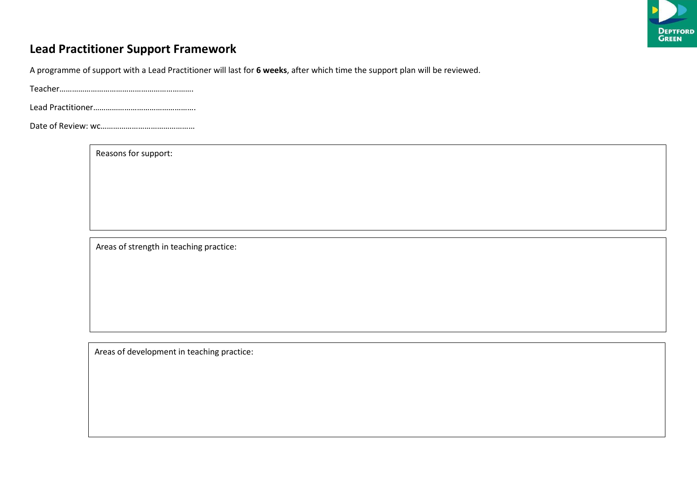

# **Lead Practitioner Support Framework**

A programme of support with a Lead Practitioner will last for **6 weeks**, after which time the support plan will be reviewed.

Teacher……………………………………………………….

Lead Practitioner………………………………………….

Date of Review: wc………………………………………

Reasons for support:

Areas of strength in teaching practice:

Areas of development in teaching practice: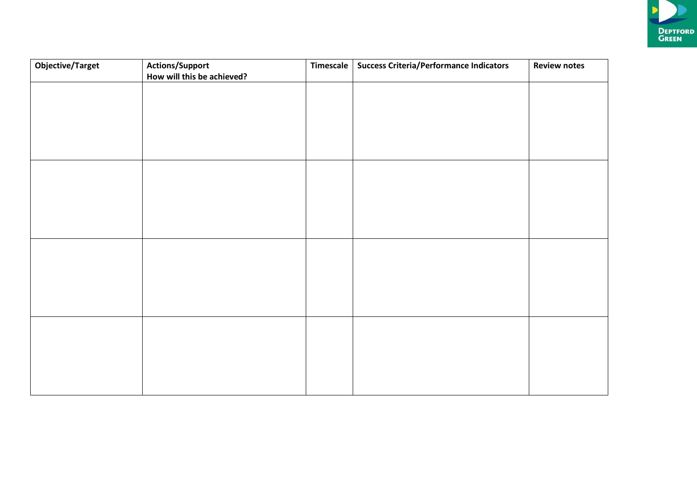

| <b>Objective/Target</b> | <b>Actions/Support</b><br>How will this be achieved? | Timescale | <b>Success Criteria/Performance Indicators</b> | <b>Review notes</b> |
|-------------------------|------------------------------------------------------|-----------|------------------------------------------------|---------------------|
|                         |                                                      |           |                                                |                     |
|                         |                                                      |           |                                                |                     |
|                         |                                                      |           |                                                |                     |
|                         |                                                      |           |                                                |                     |
|                         |                                                      |           |                                                |                     |
|                         |                                                      |           |                                                |                     |
|                         |                                                      |           |                                                |                     |
|                         |                                                      |           |                                                |                     |
|                         |                                                      |           |                                                |                     |
|                         |                                                      |           |                                                |                     |
|                         |                                                      |           |                                                |                     |
|                         |                                                      |           |                                                |                     |
|                         |                                                      |           |                                                |                     |
|                         |                                                      |           |                                                |                     |
|                         |                                                      |           |                                                |                     |
|                         |                                                      |           |                                                |                     |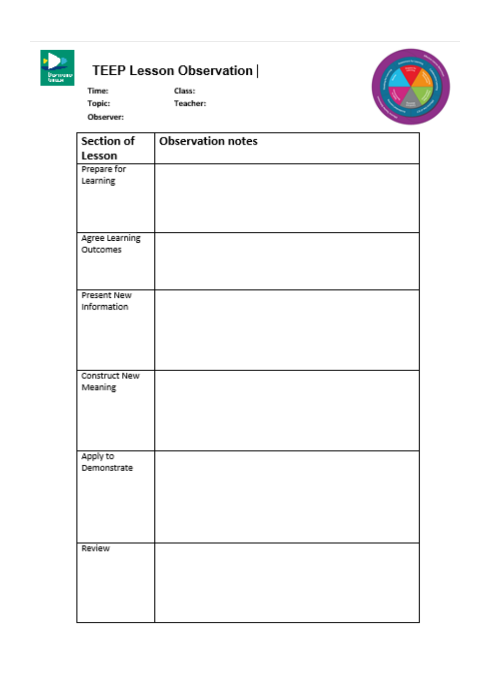

# TEEP Lesson Observation |

Times **Topic:**  Class: **Teacher:** 

Observer:



| Section of                        | <b>Observation notes</b> |
|-----------------------------------|--------------------------|
| Lesson                            |                          |
| Prepare for                       |                          |
| Learning                          |                          |
|                                   |                          |
|                                   |                          |
|                                   |                          |
| <b>Agree Learning</b><br>Outcomes |                          |
|                                   |                          |
|                                   |                          |
| <b>Present New</b>                |                          |
| Information                       |                          |
|                                   |                          |
|                                   |                          |
|                                   |                          |
|                                   |                          |
| Construct New                     |                          |
| Meaning                           |                          |
|                                   |                          |
|                                   |                          |
|                                   |                          |
| Apply to                          |                          |
| Demonstrate                       |                          |
|                                   |                          |
|                                   |                          |
|                                   |                          |
|                                   |                          |
|                                   |                          |
| Review                            |                          |
|                                   |                          |
|                                   |                          |
|                                   |                          |
|                                   |                          |